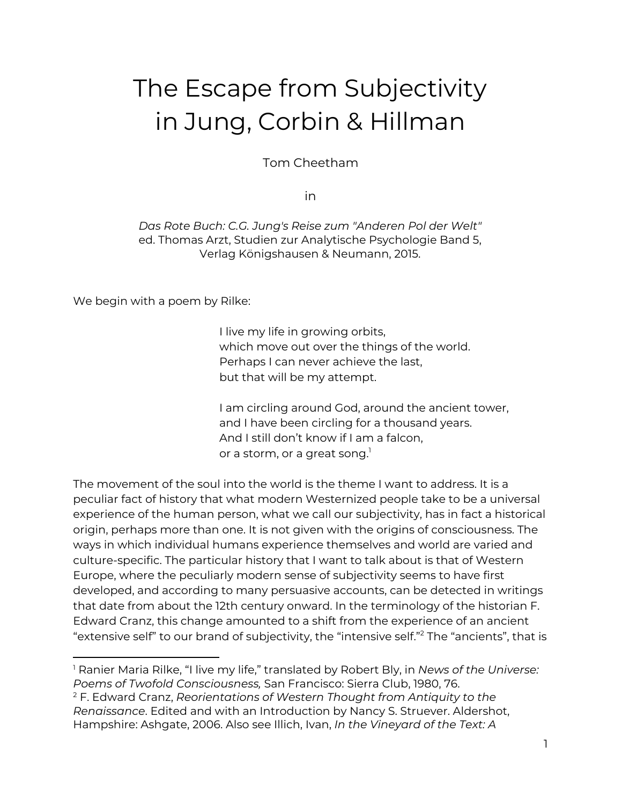# The Escape from Subjectivity in Jung, Corbin & Hillman

Tom Cheetham

in

*Das Rote Buch: C.G. Jung's Reise zum "Anderen Pol der Welt"* ed. Thomas Arzt, Studien zur Analytische Psychologie Band 5, Verlag Königshausen & Neumann, 2015.

We begin with a poem by Rilke:

I live my life in growing orbits, which move out over the things of the world. Perhaps I can never achieve the last, but that will be my attempt.

I am circling around God, around the ancient tower, and I have been circling for a thousand years. And I still don't know if I am a falcon, or a storm, or a great song. $^{\rm l}$ 

The movement of the soul into the world is the theme I want to address. It is a peculiar fact of history that what modern Westernized people take to be a universal experience of the human person, what we call our subjectivity, has in fact a historical origin, perhaps more than one. It is not given with the origins of consciousness. The ways in which individual humans experience themselves and world are varied and culture-specific. The particular history that I want to talk about is that of Western Europe, where the peculiarly modern sense of subjectivity seems to have first developed, and according to many persuasive accounts, can be detected in writings that date from about the 12th century onward. In the terminology of the historian F. Edward Cranz, this change amounted to a shift from the experience of an ancient "extensive self" to our brand of subjectivity, the "intensive self." $^2$  The "ancients", that is

<sup>1</sup> Ranier Maria Rilke, "I live my life," translated by Robert Bly, in *News of the Universe: Poems of Twofold Consciousness,* San Francisco: Sierra Club, 1980, 76.

<sup>2</sup> F. Edward Cranz, *Reorientations of Western Thought from Antiquity to the Renaissance*. Edited and with an Introduction by Nancy S. Struever. Aldershot, Hampshire: Ashgate, 2006. Also see Illich, Ivan, *In the Vineyard of the Text: A*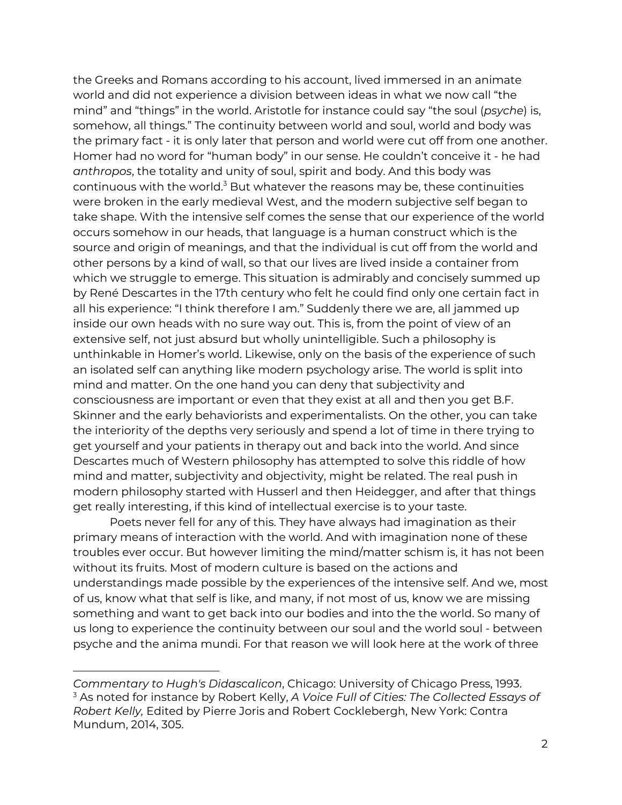the Greeks and Romans according to his account, lived immersed in an animate world and did not experience a division between ideas in what we now call "the mind" and "things" in the world. Aristotle for instance could say "the soul (*psyche*) is, somehow, all things." The continuity between world and soul, world and body was the primary fact - it is only later that person and world were cut off from one another. Homer had no word for "human body" in our sense. He couldn't conceive it - he had *anthropos*, the totality and unity of soul, spirit and body. And this body was continuous with the world. $^3$  But whatever the reasons may be, these continuities were broken in the early medieval West, and the modern subjective self began to take shape. With the intensive self comes the sense that our experience of the world occurs somehow in our heads, that language is a human construct which is the source and origin of meanings, and that the individual is cut off from the world and other persons by a kind of wall, so that our lives are lived inside a container from which we struggle to emerge. This situation is admirably and concisely summed up by René Descartes in the 17th century who felt he could find only one certain fact in all his experience: "I think therefore I am." Suddenly there we are, all jammed up inside our own heads with no sure way out. This is, from the point of view of an extensive self, not just absurd but wholly unintelligible. Such a philosophy is unthinkable in Homer's world. Likewise, only on the basis of the experience of such an isolated self can anything like modern psychology arise. The world is split into mind and matter. On the one hand you can deny that subjectivity and consciousness are important or even that they exist at all and then you get B.F. Skinner and the early behaviorists and experimentalists. On the other, you can take the interiority of the depths very seriously and spend a lot of time in there trying to get yourself and your patients in therapy out and back into the world. And since Descartes much of Western philosophy has attempted to solve this riddle of how mind and matter, subjectivity and objectivity, might be related. The real push in modern philosophy started with Husserl and then Heidegger, and after that things get really interesting, if this kind of intellectual exercise is to your taste.

Poets never fell for any of this. They have always had imagination as their primary means of interaction with the world. And with imagination none of these troubles ever occur. But however limiting the mind/matter schism is, it has not been without its fruits. Most of modern culture is based on the actions and understandings made possible by the experiences of the intensive self. And we, most of us, know what that self is like, and many, if not most of us, know we are missing something and want to get back into our bodies and into the the world. So many of us long to experience the continuity between our soul and the world soul - between psyche and the anima mundi. For that reason we will look here at the work of three

*Commentary to Hugh's Didascalicon*, Chicago: University of Chicago Press, 1993. <sup>3</sup> As noted for instance by Robert Kelly, *A Voice Full of Cities: The Collected Essays of Robert Kelly,* Edited by Pierre Joris and Robert Cocklebergh, New York: Contra Mundum, 2014, 305.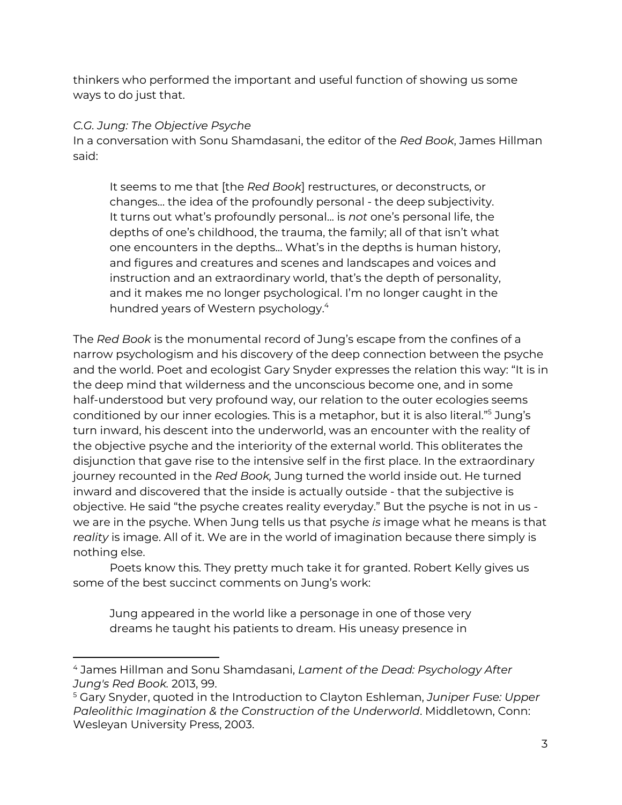thinkers who performed the important and useful function of showing us some ways to do just that.

## *C.G. Jung: The Objective Psyche*

In a conversation with Sonu Shamdasani, the editor of the *Red Book*, James Hillman said:

It seems to me that [the *Red Book*] restructures, or deconstructs, or changes… the idea of the profoundly personal - the deep subjectivity. It turns out what's profoundly personal... is *not* one's personal life, the depths of one's childhood, the trauma, the family; all of that isn't what one encounters in the depths... What's in the depths is human history, and figures and creatures and scenes and landscapes and voices and instruction and an extraordinary world, that's the depth of personality, and it makes me no longer psychological. I'm no longer caught in the hundred years of Western psychology. 4

The *Red Book* is the monumental record of Jung's escape from the confines of a narrow psychologism and his discovery of the deep connection between the psyche and the world. Poet and ecologist Gary Snyder expresses the relation this way: "It is in the deep mind that wilderness and the unconscious become one, and in some half-understood but very profound way, our relation to the outer ecologies seems conditioned by our inner ecologies. This is a metaphor, but it is also literal."<sup>5</sup> Jung's turn inward, his descent into the underworld, was an encounter with the reality of the objective psyche and the interiority of the external world. This obliterates the disjunction that gave rise to the intensive self in the first place. In the extraordinary journey recounted in the *Red Book,* Jung turned the world inside out. He turned inward and discovered that the inside is actually outside - that the subjective is objective. He said "the psyche creates reality everyday." But the psyche is not in us we are in the psyche. When Jung tells us that psyche *is* image what he means is that *reality* is image. All of it. We are in the world of imagination because there simply is nothing else.

Poets know this. They pretty much take it for granted. Robert Kelly gives us some of the best succinct comments on Jung's work:

Jung appeared in the world like a personage in one of those very dreams he taught his patients to dream. His uneasy presence in

<sup>4</sup> James Hillman and Sonu Shamdasani, *Lament of the Dead: Psychology After Jung's Red Book.* 2013, 99.

<sup>5</sup> Gary Snyder, quoted in the Introduction to Clayton Eshleman, *Juniper Fuse: Upper Paleolithic Imagination & the Construction of the Underworld*. Middletown, Conn: Wesleyan University Press, 2003.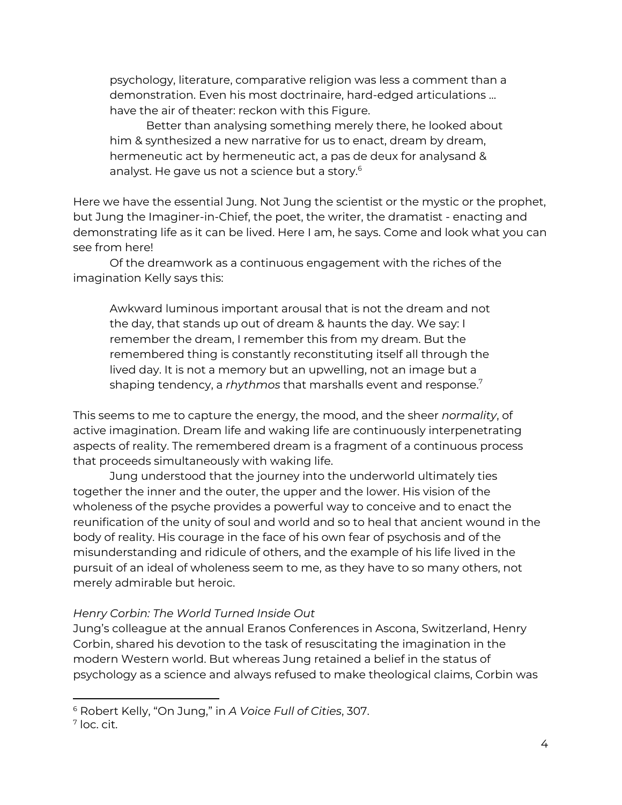psychology, literature, comparative religion was less a comment than a demonstration. Even his most doctrinaire, hard-edged articulations … have the air of theater: reckon with this Figure.

Better than analysing something merely there, he looked about him & synthesized a new narrative for us to enact, dream by dream, hermeneutic act by hermeneutic act, a pas de deux for analysand & analyst. He gave us not a science but a story. 6

Here we have the essential Jung. Not Jung the scientist or the mystic or the prophet, but Jung the Imaginer-in-Chief, the poet, the writer, the dramatist - enacting and demonstrating life as it can be lived. Here I am, he says. Come and look what you can see from here!

Of the dreamwork as a continuous engagement with the riches of the imagination Kelly says this:

Awkward luminous important arousal that is not the dream and not the day, that stands up out of dream & haunts the day. We say: I remember the dream, I remember this from my dream. But the remembered thing is constantly reconstituting itself all through the lived day. It is not a memory but an upwelling, not an image but a shaping tendency, a *rhythmos* that marshalls event and response. 7

This seems to me to capture the energy, the mood, and the sheer *normality*, of active imagination. Dream life and waking life are continuously interpenetrating aspects of reality. The remembered dream is a fragment of a continuous process that proceeds simultaneously with waking life.

Jung understood that the journey into the underworld ultimately ties together the inner and the outer, the upper and the lower. His vision of the wholeness of the psyche provides a powerful way to conceive and to enact the reunification of the unity of soul and world and so to heal that ancient wound in the body of reality. His courage in the face of his own fear of psychosis and of the misunderstanding and ridicule of others, and the example of his life lived in the pursuit of an ideal of wholeness seem to me, as they have to so many others, not merely admirable but heroic.

### *Henry Corbin: The World Turned Inside Out*

Jung's colleague at the annual Eranos Conferences in Ascona, Switzerland, Henry Corbin, shared his devotion to the task of resuscitating the imagination in the modern Western world. But whereas Jung retained a belief in the status of psychology as a science and always refused to make theological claims, Corbin was

<sup>6</sup> Robert Kelly, "On Jung," in *A Voice Full of Cities*, 307.

 $<sup>7</sup>$  loc. cit.</sup>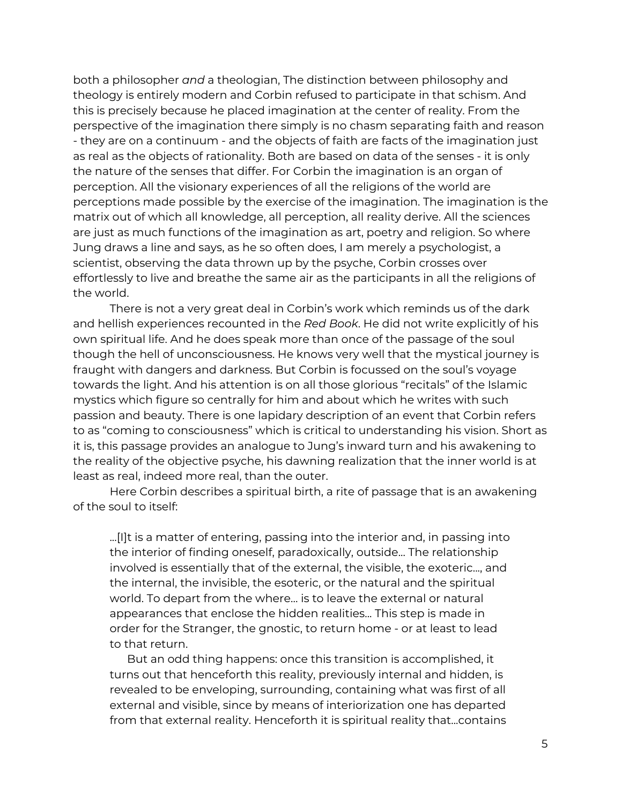both a philosopher *and* a theologian, The distinction between philosophy and theology is entirely modern and Corbin refused to participate in that schism. And this is precisely because he placed imagination at the center of reality. From the perspective of the imagination there simply is no chasm separating faith and reason - they are on a continuum - and the objects of faith are facts of the imagination just as real as the objects of rationality. Both are based on data of the senses - it is only the nature of the senses that differ. For Corbin the imagination is an organ of perception. All the visionary experiences of all the religions of the world are perceptions made possible by the exercise of the imagination. The imagination is the matrix out of which all knowledge, all perception, all reality derive. All the sciences are just as much functions of the imagination as art, poetry and religion. So where Jung draws a line and says, as he so often does, I am merely a psychologist, a scientist, observing the data thrown up by the psyche, Corbin crosses over effortlessly to live and breathe the same air as the participants in all the religions of the world.

There is not a very great deal in Corbin's work which reminds us of the dark and hellish experiences recounted in the *Red Book*. He did not write explicitly of his own spiritual life. And he does speak more than once of the passage of the soul though the hell of unconsciousness. He knows very well that the mystical journey is fraught with dangers and darkness. But Corbin is focussed on the soul's voyage towards the light. And his attention is on all those glorious "recitals" of the Islamic mystics which figure so centrally for him and about which he writes with such passion and beauty. There is one lapidary description of an event that Corbin refers to as "coming to consciousness" which is critical to understanding his vision. Short as it is, this passage provides an analogue to Jung's inward turn and his awakening to the reality of the objective psyche, his dawning realization that the inner world is at least as real, indeed more real, than the outer.

Here Corbin describes a spiritual birth, a rite of passage that is an awakening of the soul to itself:

...[I]t is a matter of entering, passing into the interior and, in passing into the interior of finding oneself, paradoxically, outside... The relationship involved is essentially that of the external, the visible, the exoteric..., and the internal, the invisible, the esoteric, or the natural and the spiritual world. To depart from the where… is to leave the external or natural appearances that enclose the hidden realities... This step is made in order for the Stranger, the gnostic, to return home - or at least to lead to that return.

But an odd thing happens: once this transition is accomplished, it turns out that henceforth this reality, previously internal and hidden, is revealed to be enveloping, surrounding, containing what was first of all external and visible, since by means of interiorization one has departed from that external reality. Henceforth it is spiritual reality that...contains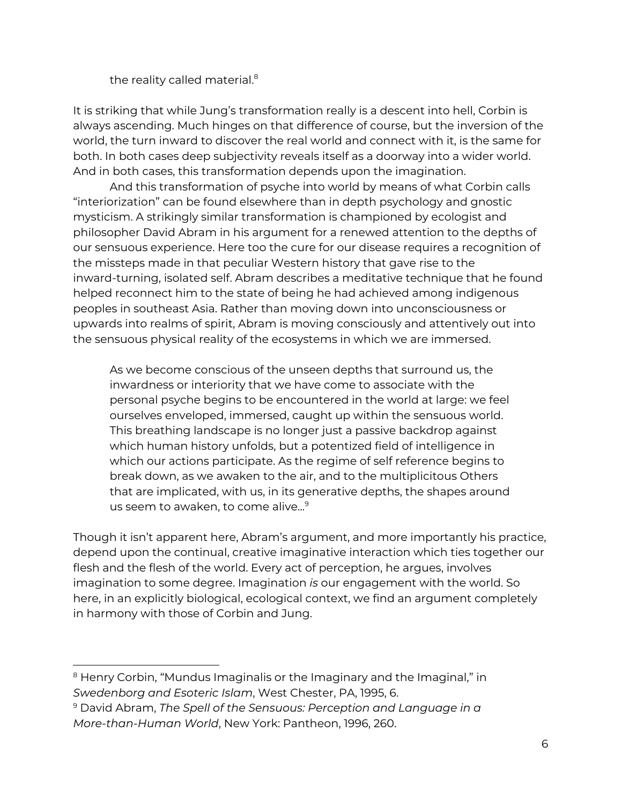the reality called material. 8

It is striking that while Jung's transformation really is a descent into hell, Corbin is always ascending. Much hinges on that difference of course, but the inversion of the world, the turn inward to discover the real world and connect with it, is the same for both. In both cases deep subjectivity reveals itself as a doorway into a wider world. And in both cases, this transformation depends upon the imagination.

And this transformation of psyche into world by means of what Corbin calls "interiorization" can be found elsewhere than in depth psychology and gnostic mysticism. A strikingly similar transformation is championed by ecologist and philosopher David Abram in his argument for a renewed attention to the depths of our sensuous experience. Here too the cure for our disease requires a recognition of the missteps made in that peculiar Western history that gave rise to the inward-turning, isolated self. Abram describes a meditative technique that he found helped reconnect him to the state of being he had achieved among indigenous peoples in southeast Asia. Rather than moving down into unconsciousness or upwards into realms of spirit, Abram is moving consciously and attentively out into the sensuous physical reality of the ecosystems in which we are immersed.

As we become conscious of the unseen depths that surround us, the inwardness or interiority that we have come to associate with the personal psyche begins to be encountered in the world at large: we feel ourselves enveloped, immersed, caught up within the sensuous world. This breathing landscape is no longer just a passive backdrop against which human history unfolds, but a potentized field of intelligence in which our actions participate. As the regime of self reference begins to break down, as we awaken to the air, and to the multiplicitous Others that are implicated, with us, in its generative depths, the shapes around us seem to awaken, to come alive... 9

Though it isn't apparent here, Abram's argument, and more importantly his practice, depend upon the continual, creative imaginative interaction which ties together our flesh and the flesh of the world. Every act of perception, he argues, involves imagination to some degree. Imagination *is* our engagement with the world. So here, in an explicitly biological, ecological context, we find an argument completely in harmony with those of Corbin and Jung.

<sup>&</sup>lt;sup>8</sup> Henry Corbin, "Mundus Imaginalis or the Imaginary and the Imaginal," in *Swedenborg and Esoteric Islam*, West Chester, PA, 1995, 6.

<sup>9</sup> David Abram, *The Spell of the Sensuous: Perception and Language in a More-than-Human World*, New York: Pantheon, 1996, 260.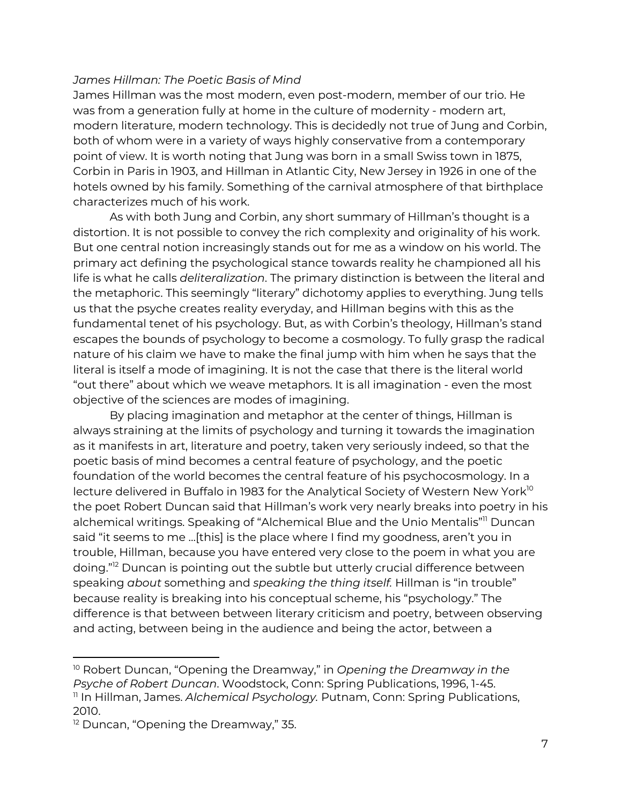#### *James Hillman: The Poetic Basis of Mind*

James Hillman was the most modern, even post-modern, member of our trio. He was from a generation fully at home in the culture of modernity - modern art, modern literature, modern technology. This is decidedly not true of Jung and Corbin, both of whom were in a variety of ways highly conservative from a contemporary point of view. It is worth noting that Jung was born in a small Swiss town in 1875, Corbin in Paris in 1903, and Hillman in Atlantic City, New Jersey in 1926 in one of the hotels owned by his family. Something of the carnival atmosphere of that birthplace characterizes much of his work.

As with both Jung and Corbin, any short summary of Hillman's thought is a distortion. It is not possible to convey the rich complexity and originality of his work. But one central notion increasingly stands out for me as a window on his world. The primary act defining the psychological stance towards reality he championed all his life is what he calls *deliteralization*. The primary distinction is between the literal and the metaphoric. This seemingly "literary" dichotomy applies to everything. Jung tells us that the psyche creates reality everyday, and Hillman begins with this as the fundamental tenet of his psychology. But, as with Corbin's theology, Hillman's stand escapes the bounds of psychology to become a cosmology. To fully grasp the radical nature of his claim we have to make the final jump with him when he says that the literal is itself a mode of imagining. It is not the case that there is the literal world "out there" about which we weave metaphors. It is all imagination - even the most objective of the sciences are modes of imagining.

By placing imagination and metaphor at the center of things, Hillman is always straining at the limits of psychology and turning it towards the imagination as it manifests in art, literature and poetry, taken very seriously indeed, so that the poetic basis of mind becomes a central feature of psychology, and the poetic foundation of the world becomes the central feature of his psychocosmology. In a lecture delivered in Buffalo in 1983 for the Analytical Society of Western New York $^{\text{lo}}$ the poet Robert Duncan said that Hillman's work very nearly breaks into poetry in his alchemical writings. Speaking of "Alchemical Blue and the Unio Mentalis"<sup>11</sup> Duncan said "it seems to me …[this] is the place where I find my goodness, aren't you in trouble, Hillman, because you have entered very close to the poem in what you are doing."<sup>12</sup> Duncan is pointing out the subtle but utterly crucial difference between speaking *about* something and *speaking the thing itself.* Hillman is "in trouble" because reality is breaking into his conceptual scheme, his "psychology." The difference is that between between literary criticism and poetry, between observing and acting, between being in the audience and being the actor, between a

<sup>10</sup> Robert Duncan, "Opening the Dreamway," in *Opening the Dreamway in the Psyche of Robert Duncan*. Woodstock, Conn: Spring Publications, 1996, 1-45. 11 In Hillman, James. *Alchemical Psychology.* Putnam, Conn: Spring Publications, 2010.

<sup>&</sup>lt;sup>12</sup> Duncan, "Opening the Dreamway," 35.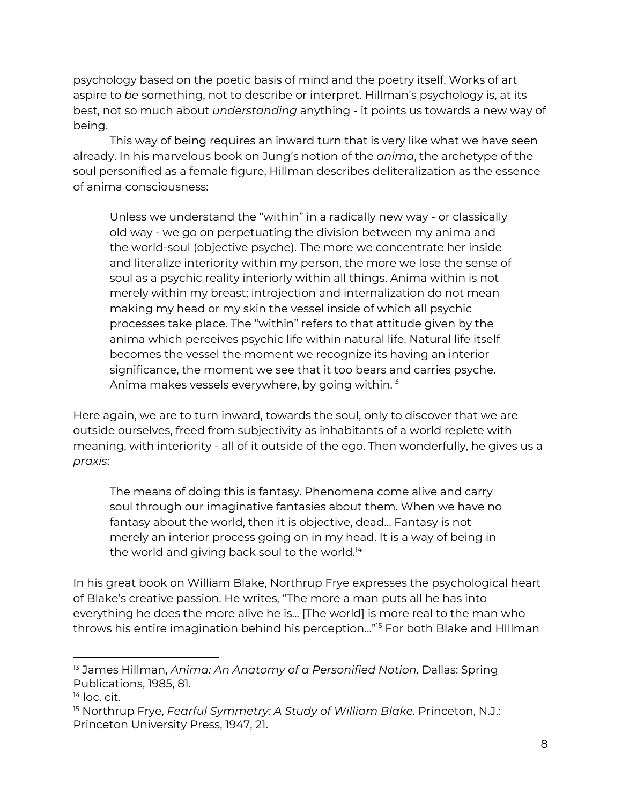psychology based on the poetic basis of mind and the poetry itself. Works of art aspire to *be* something, not to describe or interpret. Hillman's psychology is, at its best, not so much about *understanding* anything - it points us towards a new way of being.

This way of being requires an inward turn that is very like what we have seen already. In his marvelous book on Jung's notion of the *anima*, the archetype of the soul personified as a female figure, Hillman describes deliteralization as the essence of anima consciousness:

Unless we understand the "within" in a radically new way - or classically old way - we go on perpetuating the division between my anima and the world-soul (objective psyche). The more we concentrate her inside and literalize interiority within my person, the more we lose the sense of soul as a psychic reality interiorly within all things. Anima within is not merely within my breast; introjection and internalization do not mean making my head or my skin the vessel inside of which all psychic processes take place. The "within" refers to that attitude given by the anima which perceives psychic life within natural life. Natural life itself becomes the vessel the moment we recognize its having an interior significance, the moment we see that it too bears and carries psyche. Anima makes vessels everywhere, by going within. $^{\text{\tiny{I3}}}$ 

Here again, we are to turn inward, towards the soul, only to discover that we are outside ourselves, freed from subjectivity as inhabitants of a world replete with meaning, with interiority - all of it outside of the ego. Then wonderfully, he gives us a *praxis*:

The means of doing this is fantasy. Phenomena come alive and carry soul through our imaginative fantasies about them. When we have no fantasy about the world, then it is objective, dead… Fantasy is not merely an interior process going on in my head. It is a way of being in the world and giving back soul to the world. $^{\rm 14}$ 

In his great book on William Blake, Northrup Frye expresses the psychological heart of Blake's creative passion. He writes, "The more a man puts all he has into everything he does the more alive he is… [The world] is more real to the man who throws his entire imagination behind his perception..."<sup>15</sup> For both Blake and HIllman

<sup>13</sup> James Hillman, *Anima: An Anatomy of a Personified Notion,* Dallas: Spring Publications, 1985, 81.

<sup>&</sup>lt;sup>14</sup> loc. cit.

<sup>15</sup> Northrup Frye, *Fearful Symmetry: A Study of William Blake.* Princeton, N.J.: Princeton University Press, 1947, 21.